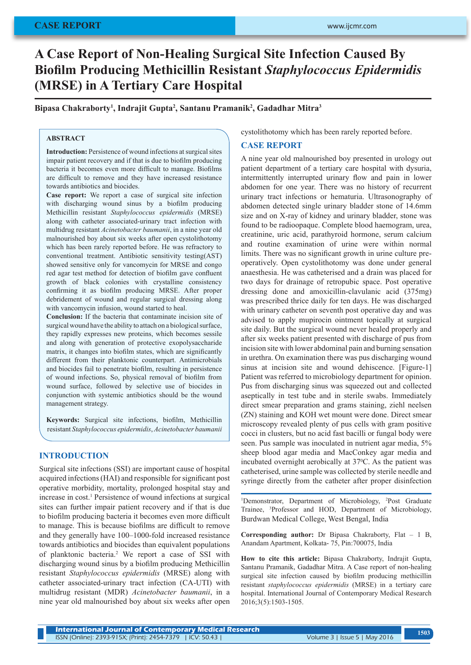# **A Case Report of Non-Healing Surgical Site Infection Caused By Biofilm Producing Methicillin Resistant** *Staphylococcus Epidermidis* **(MRSE) in A Tertiary Care Hospital**

**Bipasa Chakraborty<sup>1</sup> , Indrajit Gupta2 , Santanu Pramanik<sup>2</sup> , Gadadhar Mitra<sup>3</sup>**

## **ABSTRACT**

**Introduction:** Persistence of wound infections at surgical sites impair patient recovery and if that is due to biofilm producing bacteria it becomes even more difficult to manage. Biofilms are difficult to remove and they have increased resistance towards antibiotics and biocides.

**Case report:** We report a case of surgical site infection with discharging wound sinus by a biofilm producing Methicillin resistant *Staphylococcus epidermidis* (MRSE) along with catheter associated-urinary tract infection with multidrug resistant *Acinetobacter baumanii*, in a nine year old malnourished boy about six weeks after open cystolithotomy which has been rarely reported before. He was refractory to conventional treatment. Antibiotic sensitivity testing(AST) showed sensitive only for vancomycin for MRSE and congo red agar test method for detection of biofilm gave confluent growth of black colonies with crystalline consistency confirming it as biofilm producing MRSE. After proper debridement of wound and regular surgical dressing along with vancomycin infusion, wound started to heal.

**Conclusion:** If the bacteria that contaminate incision site of surgical wound have the ability to attach on a biological surface, they rapidly expresses new proteins, which becomes sessile and along with generation of protective exopolysaccharide matrix, it changes into biofilm states, which are significantly different from their planktonic counterpart. Antimicrobials and biocides fail to penetrate biofilm, resulting in persistence of wound infections. So, physical removal of biofilm from wound surface, followed by selective use of biocides in conjunction with systemic antibiotics should be the wound management strategy.

**Keywords:** Surgical site infections, biofilm, Methicillin resistant *Staphylococcus epidermidis*, *Acinetobacter baumanii*

## **INTRODUCTION**

Surgical site infections (SSI) are important cause of hospital acquired infections (HAI) and responsible for significant post operative morbidity, mortality, prolonged hospital stay and increase in cost.<sup>1</sup> Persistence of wound infections at surgical sites can further impair patient recovery and if that is due to biofilm producing bacteria it becomes even more difficult to manage. This is because biofilms are difficult to remove and they generally have 100–1000-fold increased resistance towards antibiotics and biocides than equivalent populations of planktonic bacteria.<sup>2</sup> We report a case of SSI with discharging wound sinus by a biofilm producing Methicillin resistant *Staphylococcus epidermidis* (MRSE) along with catheter associated-urinary tract infection (CA-UTI) with multidrug resistant (MDR) *Acinetobacter baumanii*, in a nine year old malnourished boy about six weeks after open

cystolithotomy which has been rarely reported before.

#### **CASE REPORT**

A nine year old malnourished boy presented in urology out patient department of a tertiary care hospital with dysuria, intermittently interrupted urinary flow and pain in lower abdomen for one year. There was no history of recurrent urinary tract infections or hematuria. Ultrasonography of abdomen detected single urinary bladder stone of 14.6mm size and on X-ray of kidney and urinary bladder, stone was found to be radioopaque. Complete blood haemogram, urea, creatinine, uric acid, parathyroid hormone, serum calcium and routine examination of urine were within normal limits. There was no significant growth in urine culture preoperatively. Open cystolithotomy was done under general anaesthesia. He was catheterised and a drain was placed for two days for drainage of retropubic space. Post operative dressing done and amoxicillin-clavulanic acid (375mg) was prescribed thrice daily for ten days. He was discharged with urinary catheter on seventh post operative day and was advised to apply mupirocin ointment topically at surgical site daily. But the surgical wound never healed properly and after six weeks patient presented with discharge of pus from incision site with lower abdominal pain and burning sensation in urethra. On examination there was pus discharging wound sinus at incision site and wound dehiscence. [Figure-1] Patient was referred to microbiology department for opinion. Pus from discharging sinus was squeezed out and collected aseptically in test tube and in sterile swabs. Immediately direct smear preparation and grams staining, ziehl neelsen (ZN) staining and KOH wet mount were done. Direct smear microscopy revealed plenty of pus cells with gram positive cocci in clusters, but no acid fast bacilli or fungal body were seen. Pus sample was inoculated in nutrient agar media, 5% sheep blood agar media and MacConkey agar media and incubated overnight aerobically at  $37^{\circ}$ C. As the patient was catheterised, urine sample was collected by sterile needle and syringe directly from the catheter after proper disinfection

<sup>1</sup>Demonstrator, Department of Microbiology, <sup>2</sup>Post Graduate Trainee, <sup>3</sup> Professor and HOD, Department of Microbiology, Burdwan Medical College, West Bengal, India

**Corresponding author:** Dr Bipasa Chakraborty, Flat – 1 B, Anandam Apartment, Kolkata- 75, Pin:700075, India

**How to cite this article:** Bipasa Chakraborty, Indrajit Gupta, Santanu Pramanik, Gadadhar Mitra. A Case report of non-healing surgical site infection caused by biofilm producing methicillin resistant *staphylococcus epidermidis* (MRSE) in a tertiary care hospital. International Journal of Contemporary Medical Research 2016;3(5):1503-1505.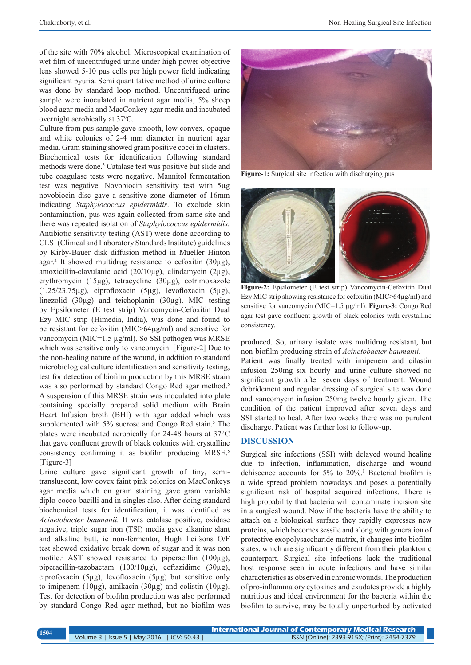of the site with 70% alcohol. Microscopical examination of wet film of uncentrifuged urine under high power objective lens showed 5-10 pus cells per high power field indicating significant pyuria. Semi quantitative method of urine culture was done by standard loop method. Uncentrifuged urine sample were inoculated in nutrient agar media, 5% sheep blood agar media and MacConkey agar media and incubated overnight aerobically at 37<sup>o</sup>C.

Culture from pus sample gave smooth, low convex, opaque and white colonies of 2-4 mm diameter in nutrient agar media. Gram staining showed gram positive cocci in clusters. Biochemical tests for identification following standard methods were done.<sup>3</sup> Catalase test was positive but slide and tube coagulase tests were negative. Mannitol fermentation test was negative. Novobiocin sensitivity test with 5µg novobiocin disc gave a sensitive zone diameter of 16mm indicating *Staphylococcus epidermidis*. To exclude skin contamination, pus was again collected from same site and there was repeated isolation of *Staphylococcus epidermidis.* Antibiotic sensitivity testing (AST) were done according to CLSI (Clinical and Laboratory Standards Institute) guidelines by Kirby-Bauer disk diffusion method in Mueller Hinton agar.<sup>4</sup> It showed multidrug resistance to cefoxitin (30µg), amoxicillin-clavulanic acid (20/10µg), clindamycin (2µg), erythromycin (15µg), tetracycline (30µg), cotrimoxazole  $(1.25/23.75\mu g)$ , ciprofloxacin  $(5\mu g)$ , levofloxacin  $(5\mu g)$ , linezolid (30µg) and teichoplanin (30µg). MIC testing by Epsilometer (E test strip) Vancomycin-Cefoxitin Dual Ezy MIC strip (Himedia, India), was done and found to be resistant for cefoxitin (MIC>64µg/ml) and sensitive for vancomycin (MIC=1.5 µg/ml). So SSI pathogen was MRSE which was sensitive only to vancomycin. [Figure-2] Due to the non-healing nature of the wound, in addition to standard microbiological culture identification and sensitivity testing, test for detection of biofilm production by this MRSE strain was also performed by standard Congo Red agar method.<sup>5</sup> A suspension of this MRSE strain was inoculated into plate containing specially prepared solid medium with Brain Heart Infusion broth (BHI) with agar added which was supplemented with 5% sucrose and Congo Red stain.<sup>5</sup> The plates were incubated aerobically for 24-48 hours at 37°C that gave confluent growth of black colonies with crystalline consistency confirming it as biofilm producing MRSE.<sup>5</sup> [Figure-3]

Urine culture gave significant growth of tiny, semitransluscent, low covex faint pink colonies on MacConkeys agar media which on gram staining gave gram variable diplo-cocco-bacilli and in singles also. After doing standard biochemical tests for identification, it was identified as *Acinetobacter baumanii.* It was catalase positive, oxidase negative, triple sugar iron (TSI) media gave alkanine slant and alkaline butt, ie non-fermentor, Hugh Leifsons O/F test showed oxidative break down of sugar and it was non motile.<sup>3</sup> AST showed resistance to piperacillin (100µg), piperacillin-tazobactam (100/10µg), ceftazidime (30µg), ciprofoxacin (5µg), levofloxacin (5µg) but sensitive only to imipenem (10 $\mu$ g), amikacin (30 $\mu$ g) and colistin (10 $\mu$ g). Test for detection of biofilm production was also performed by standard Congo Red agar method, but no biofilm was



**Figure-1:** Surgical site infection with discharging pus



**Figure-2:** Epsilometer (E test strip) Vancomycin-Cefoxitin Dual Ezy MIC strip showing resistance for cefoxitin (MIC>64µg/ml) and sensitive for vancomycin (MIC=1.5 µg/ml). **Figure-3:** Congo Red agar test gave confluent growth of black colonies with crystalline consistency.

produced. So, urinary isolate was multidrug resistant, but non-biofilm producing strain of *Acinetobacter baumanii*. Patient was finally treated with imipenem and cilastin infusion 250mg six hourly and urine culture showed no significant growth after seven days of treatment. Wound debridement and regular dressing of surgical site was done and vancomycin infusion 250mg twelve hourly given. The condition of the patient improved after seven days and SSI started to heal. After two weeks there was no purulent discharge. Patient was further lost to follow-up.

#### **DISCUSSION**

Surgical site infections (SSI) with delayed wound healing due to infection, inflammation, discharge and wound dehiscence accounts for 5% to 20%.<sup>1</sup> Bacterial biofilm is a wide spread problem nowadays and poses a potentially significant risk of hospital acquired infections. There is high probability that bacteria will contaminate incision site in a surgical wound. Now if the bacteria have the ability to attach on a biological surface they rapidly expresses new proteins, which becomes sessile and along with generation of protective exopolysaccharide matrix, it changes into biofilm states, which are significantly different from their planktonic counterpart. Surgical site infections lack the traditional host response seen in acute infections and have similar characteristics as observed in chronic wounds. The production of pro-inflammatory cytokines and exudates provide a highly nutritious and ideal environment for the bacteria within the biofilm to survive, may be totally unperturbed by activated